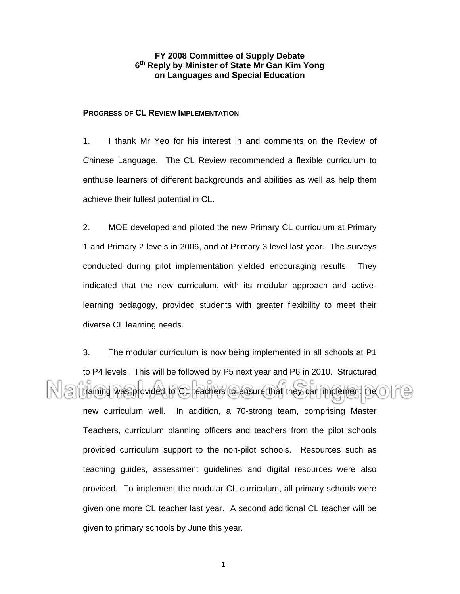# **FY 2008 Committee of Supply Debate 6th Reply by Minister of State Mr Gan Kim Yong on Languages and Special Education**

## **PROGRESS OF CL REVIEW IMPLEMENTATION**

1. I thank Mr Yeo for his interest in and comments on the Review of Chinese Language. The CL Review recommended a flexible curriculum to enthuse learners of different backgrounds and abilities as well as help them achieve their fullest potential in CL.

2. MOE developed and piloted the new Primary CL curriculum at Primary 1 and Primary 2 levels in 2006, and at Primary 3 level last year. The surveys conducted during pilot implementation yielded encouraging results. They indicated that the new curriculum, with its modular approach and activelearning pedagogy, provided students with greater flexibility to meet their diverse CL learning needs.

3. The modular curriculum is now being implemented in all schools at P1 to P4 levels. This will be followed by P5 next year and P6 in 2010. Structured training was provided to CL teachers to ensure that they can implement the new curriculum well. In addition, a 70-strong team, comprising Master Teachers, curriculum planning officers and teachers from the pilot schools provided curriculum support to the non-pilot schools. Resources such as teaching guides, assessment guidelines and digital resources were also provided. To implement the modular CL curriculum, all primary schools were given one more CL teacher last year. A second additional CL teacher will be given to primary schools by June this year.

1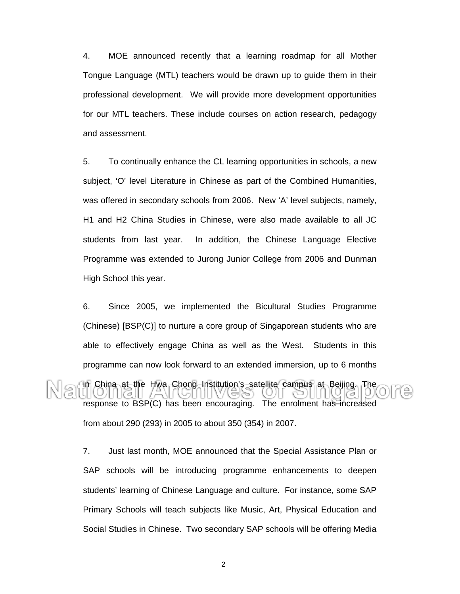4. MOE announced recently that a learning roadmap for all Mother Tongue Language (MTL) teachers would be drawn up to guide them in their professional development. We will provide more development opportunities for our MTL teachers. These include courses on action research, pedagogy and assessment.

5. To continually enhance the CL learning opportunities in schools, a new subject, 'O' level Literature in Chinese as part of the Combined Humanities, was offered in secondary schools from 2006. New 'A' level subjects, namely, H1 and H2 China Studies in Chinese, were also made available to all JC students from last year. In addition, the Chinese Language Elective Programme was extended to Jurong Junior College from 2006 and Dunman High School this year.

6. Since 2005, we implemented the Bicultural Studies Programme (Chinese) [BSP(C)] to nurture a core group of Singaporean students who are able to effectively engage China as well as the West. Students in this programme can now look forward to an extended immersion, up to 6 months in China at the Hwa Chong Institution's satellite campus at Beijing. The response to BSP(C) has been encouraging. The enrolment has increased from about 290 (293) in 2005 to about 350 (354) in 2007.

7. Just last month, MOE announced that the Special Assistance Plan or SAP schools will be introducing programme enhancements to deepen students' learning of Chinese Language and culture. For instance, some SAP Primary Schools will teach subjects like Music, Art, Physical Education and Social Studies in Chinese. Two secondary SAP schools will be offering Media

2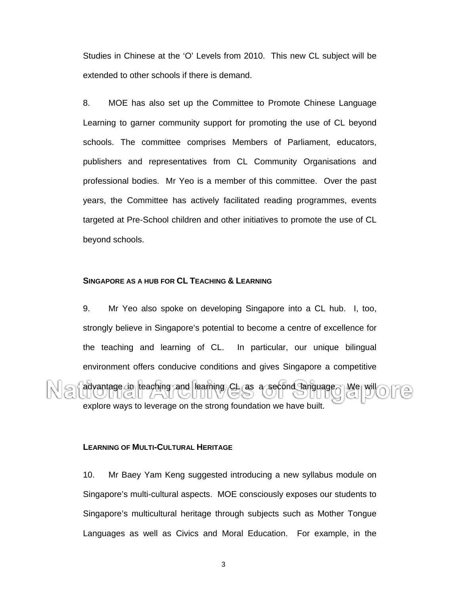Studies in Chinese at the 'O' Levels from 2010. This new CL subject will be extended to other schools if there is demand.

8. MOE has also set up the Committee to Promote Chinese Language Learning to garner community support for promoting the use of CL beyond schools. The committee comprises Members of Parliament, educators, publishers and representatives from CL Community Organisations and professional bodies. Mr Yeo is a member of this committee. Over the past years, the Committee has actively facilitated reading programmes, events targeted at Pre-School children and other initiatives to promote the use of CL beyond schools.

### **SINGAPORE AS A HUB FOR CL TEACHING & LEARNING**

9. Mr Yeo also spoke on developing Singapore into a CL hub. I, too, strongly believe in Singapore's potential to become a centre of excellence for the teaching and learning of CL. In particular, our unique bilingual environment offers conducive conditions and gives Singapore a competitive

advantage in teaching and learning CL as a second language. We will explore ways to leverage on the strong foundation we have built.

### **LEARNING OF MULTI-CULTURAL HERITAGE**

10. Mr Baey Yam Keng suggested introducing a new syllabus module on Singapore's multi-cultural aspects. MOE consciously exposes our students to Singapore's multicultural heritage through subjects such as Mother Tongue Languages as well as Civics and Moral Education. For example, in the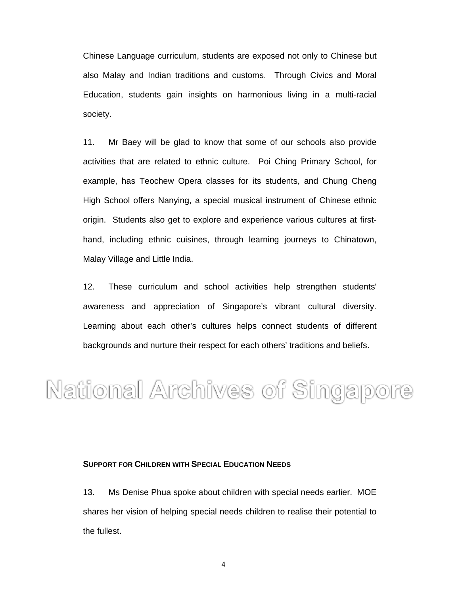Chinese Language curriculum, students are exposed not only to Chinese but also Malay and Indian traditions and customs. Through Civics and Moral Education, students gain insights on harmonious living in a multi-racial society.

11. Mr Baey will be glad to know that some of our schools also provide activities that are related to ethnic culture. Poi Ching Primary School, for example, has Teochew Opera classes for its students, and Chung Cheng High School offers Nanying, a special musical instrument of Chinese ethnic origin. Students also get to explore and experience various cultures at firsthand, including ethnic cuisines, through learning journeys to Chinatown, Malay Village and Little India.

12. These curriculum and school activities help strengthen students' awareness and appreciation of Singapore's vibrant cultural diversity. Learning about each other's cultures helps connect students of different backgrounds and nurture their respect for each others' traditions and beliefs.

National Archives of Singapore

#### **SUPPORT FOR CHILDREN WITH SPECIAL EDUCATION NEEDS**

13. Ms Denise Phua spoke about children with special needs earlier. MOE shares her vision of helping special needs children to realise their potential to the fullest.